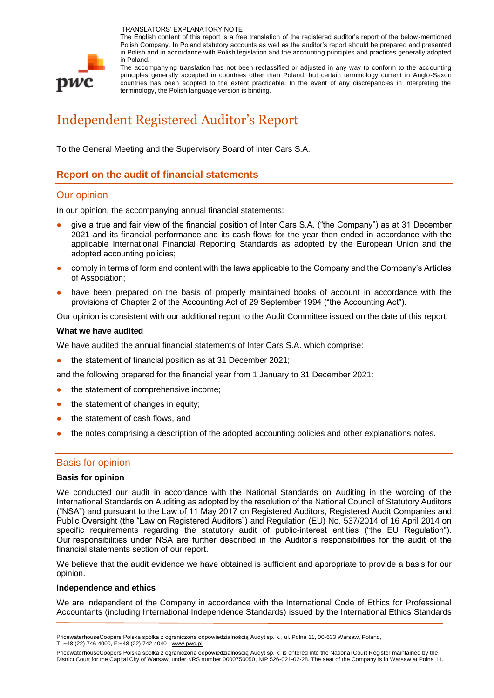TRANSLATORS' EXPLANATORY NOTE



The English content of this report is a free translation of the registered auditor's report of the below-mentioned Polish Company. In Poland statutory accounts as well as the auditor's report should be prepared and presented in Polish and in accordance with Polish legislation and the accounting principles and practices generally adopted in Poland.

The accompanying translation has not been reclassified or adjusted in any way to conform to the accounting principles generally accepted in countries other than Poland, but certain terminology current in Anglo-Saxon countries has been adopted to the extent practicable. In the event of any discrepancies in interpreting the terminology, the Polish language version is binding.

# Independent Registered Auditor's Report

To the General Meeting and the Supervisory Board of Inter Cars S.A.

# **Report on the audit of financial statements**

# Our opinion

In our opinion, the accompanying annual financial statements:

- give a true and fair view of the financial position of Inter Cars S.A. ("the Company") as at 31 December 2021 and its financial performance and its cash flows for the year then ended in accordance with the applicable International Financial Reporting Standards as adopted by the European Union and the adopted accounting policies;
- comply in terms of form and content with the laws applicable to the Company and the Company's Articles of Association;
- have been prepared on the basis of properly maintained books of account in accordance with the provisions of Chapter 2 of the Accounting Act of 29 September 1994 ("the Accounting Act").

Our opinion is consistent with our additional report to the Audit Committee issued on the date of this report.

#### **What we have audited**

We have audited the annual financial statements of Inter Cars S.A. which comprise:

the statement of financial position as at 31 December 2021;

and the following prepared for the financial year from 1 January to 31 December 2021:

- the statement of comprehensive income;
- the statement of changes in equity;
- the statement of cash flows, and
- the notes comprising a description of the adopted accounting policies and other explanations notes.

# Basis for opinion

#### **Basis for opinion**

We conducted our audit in accordance with the National Standards on Auditing in the wording of the International Standards on Auditing as adopted by the resolution of the National Council of Statutory Auditors ("NSA") and pursuant to the Law of 11 May 2017 on Registered Auditors, Registered Audit Companies and Public Oversight (the "Law on Registered Auditors") and Regulation (EU) No. 537/2014 of 16 April 2014 on specific requirements regarding the statutory audit of public-interest entities ("the EU Regulation"). Our responsibilities under NSA are further described in the Auditor's responsibilities for the audit of the financial statements section of our report.

We believe that the audit evidence we have obtained is sufficient and appropriate to provide a basis for our opinion.

#### **Independence and ethics**

We are independent of the Company in accordance with the International Code of Ethics for Professional Accountants (including International Independence Standards) issued by the International Ethics Standards

PricewaterhouseCoopers Polska spółka z ograniczoną odpowiedzialnością Audyt sp. k., ul. Polna 11, 00-633 Warsaw, Poland, T: +48 (22) 746 4000, F:+48 (22) 742 4040 , [www.pwc.pl](http://www.pwc.pl/)

PricewaterhouseCoopers Polska spółka z ograniczoną odpowiedzialnością Audyt sp. k. is entered into the National Court Register maintained by the<br>District Court for the Capital City of Warsaw, under KRS number 0000750050, N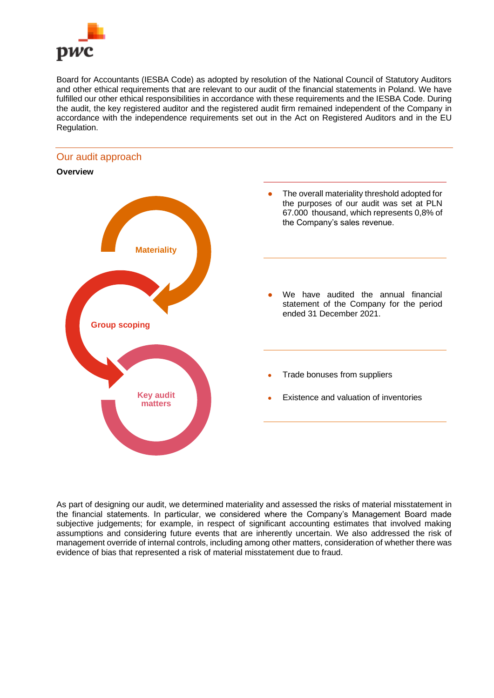

Board for Accountants (IESBA Code) as adopted by resolution of the National Council of Statutory Auditors and other ethical requirements that are relevant to our audit of the financial statements in Poland. We have fulfilled our other ethical responsibilities in accordance with these requirements and the IESBA Code. During the audit, the key registered auditor and the registered audit firm remained independent of the Company in accordance with the independence requirements set out in the Act on Registered Auditors and in the EU Regulation.



As part of designing our audit, we determined materiality and assessed the risks of material misstatement in the financial statements. In particular, we considered where the Company's Management Board made subjective judgements; for example, in respect of significant accounting estimates that involved making assumptions and considering future events that are inherently uncertain. We also addressed the risk of management override of internal controls, including among other matters, consideration of whether there was evidence of bias that represented a risk of material misstatement due to fraud.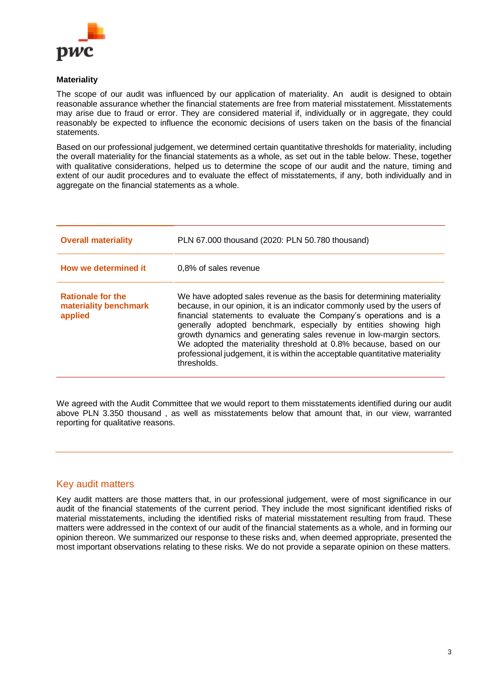

# **Materiality**

The scope of our audit was influenced by our application of materiality. An audit is designed to obtain reasonable assurance whether the financial statements are free from material misstatement. Misstatements may arise due to fraud or error. They are considered material if, individually or in aggregate, they could reasonably be expected to influence the economic decisions of users taken on the basis of the financial statements.

Based on our professional judgement, we determined certain quantitative thresholds for materiality, including the overall materiality for the financial statements as a whole, as set out in the table below. These, together with qualitative considerations, helped us to determine the scope of our audit and the nature, timing and extent of our audit procedures and to evaluate the effect of misstatements, if any, both individually and in aggregate on the financial statements as a whole.

| <b>Overall materiality</b>                                   | PLN 67.000 thousand (2020: PLN 50.780 thousand)                                                                                                                                                                                                                                                                                                                                                                                                                                                                                           |
|--------------------------------------------------------------|-------------------------------------------------------------------------------------------------------------------------------------------------------------------------------------------------------------------------------------------------------------------------------------------------------------------------------------------------------------------------------------------------------------------------------------------------------------------------------------------------------------------------------------------|
| How we determined it                                         | 0,8% of sales revenue                                                                                                                                                                                                                                                                                                                                                                                                                                                                                                                     |
| <b>Rationale for the</b><br>materiality benchmark<br>applied | We have adopted sales revenue as the basis for determining materiality<br>because, in our opinion, it is an indicator commonly used by the users of<br>financial statements to evaluate the Company's operations and is a<br>generally adopted benchmark, especially by entities showing high<br>growth dynamics and generating sales revenue in low-margin sectors.<br>We adopted the materiality threshold at 0.8% because, based on our<br>professional judgement, it is within the acceptable quantitative materiality<br>thresholds. |

We agreed with the Audit Committee that we would report to them misstatements identified during our audit above PLN 3.350 thousand , as well as misstatements below that amount that, in our view, warranted reporting for qualitative reasons.

# Key audit matters

Key audit matters are those matters that, in our professional judgement, were of most significance in our audit of the financial statements of the current period. They include the most significant identified risks of material misstatements, including the identified risks of material misstatement resulting from fraud. These matters were addressed in the context of our audit of the financial statements as a whole, and in forming our opinion thereon. We summarized our response to these risks and, when deemed appropriate, presented the most important observations relating to these risks. We do not provide a separate opinion on these matters.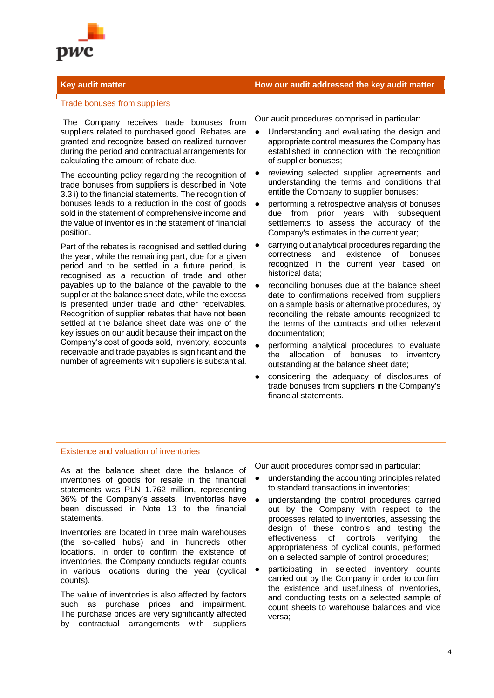

#### Trade bonuses from suppliers

The Company receives trade bonuses from suppliers related to purchased good. Rebates are granted and recognize based on realized turnover during the period and contractual arrangements for calculating the amount of rebate due.

The accounting policy regarding the recognition of trade bonuses from suppliers is described in Note 3.3 i) to the financial statements. The recognition of bonuses leads to a reduction in the cost of goods sold in the statement of comprehensive income and the value of inventories in the statement of financial position.

Part of the rebates is recognised and settled during the year, while the remaining part, due for a given period and to be settled in a future period, is recognised as a reduction of trade and other payables up to the balance of the payable to the supplier at the balance sheet date, while the excess is presented under trade and other receivables. Recognition of supplier rebates that have not been settled at the balance sheet date was one of the key issues on our audit because their impact on the Company's cost of goods sold, inventory, accounts receivable and trade payables is significant and the number of agreements with suppliers is substantial.

**Key audit matter How our audit addressed the key audit matter**

Our audit procedures comprised in particular:

- Understanding and evaluating the design and appropriate control measures the Company has established in connection with the recognition of supplier bonuses;
- reviewing selected supplier agreements and understanding the terms and conditions that entitle the Company to supplier bonuses;
- performing a retrospective analysis of bonuses due from prior years with subsequent settlements to assess the accuracy of the Company's estimates in the current year;
- carrying out analytical procedures regarding the correctness and existence of bonuses recognized in the current year based on historical data;
- reconciling bonuses due at the balance sheet date to confirmations received from suppliers on a sample basis or alternative procedures, by reconciling the rebate amounts recognized to the terms of the contracts and other relevant documentation;
- performing analytical procedures to evaluate the allocation of bonuses to inventory outstanding at the balance sheet date;
- considering the adequacy of disclosures of trade bonuses from suppliers in the Company's financial statements.

#### Existence and valuation of inventories

As at the balance sheet date the balance of inventories of goods for resale in the financial statements was PLN 1.762 million, representing 36% of the Company's assets. Inventories have been discussed in Note 13 to the financial statements.

Inventories are located in three main warehouses (the so-called hubs) and in hundreds other locations. In order to confirm the existence of inventories, the Company conducts regular counts in various locations during the year (cyclical counts).

The value of inventories is also affected by factors such as purchase prices and impairment. The purchase prices are very significantly affected by contractual arrangements with suppliers

Our audit procedures comprised in particular:

- understanding the accounting principles related to standard transactions in inventories;
- understanding the control procedures carried out by the Company with respect to the processes related to inventories, assessing the design of these controls and testing the effectiveness of controls verifying the appropriateness of cyclical counts, performed on a selected sample of control procedures;
- participating in selected inventory counts carried out by the Company in order to confirm the existence and usefulness of inventories, and conducting tests on a selected sample of count sheets to warehouse balances and vice versa;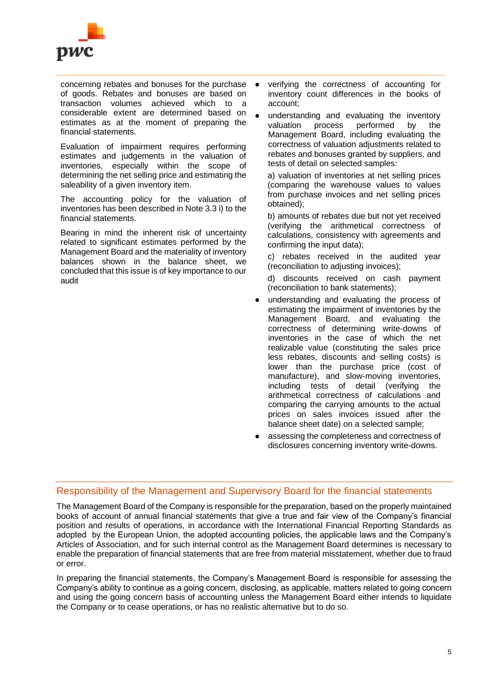

concerning rebates and bonuses for the purchase of goods. Rebates and bonuses are based on transaction volumes achieved which to a considerable extent are determined based on estimates as at the moment of preparing the financial statements.

Evaluation of impairment requires performing estimates and judgements in the valuation of inventories, especially within the scope of determining the net selling price and estimating the saleability of a given inventory item.

The accounting policy for the valuation of inventories has been described in Note 3.3 i) to the financial statements.

Bearing in mind the inherent risk of uncertainty related to significant estimates performed by the Management Board and the materiality of inventory balances shown in the balance sheet, we concluded that this issue is of key importance to our audit

- verifying the correctness of accounting for inventory count differences in the books of account;
- understanding and evaluating the inventory valuation process performed by the Management Board, including evaluating the correctness of valuation adjustments related to rebates and bonuses granted by suppliers, and tests of detail on selected samples:

a) valuation of inventories at net selling prices (comparing the warehouse values to values from purchase invoices and net selling prices obtained);

b) amounts of rebates due but not yet received (verifying the arithmetical correctness of calculations, consistency with agreements and confirming the input data);

c) rebates received in the audited year (reconciliation to adjusting invoices);

d) discounts received on cash payment (reconciliation to bank statements);

- understanding and evaluating the process of estimating the impairment of inventories by the Management Board, and evaluating the correctness of determining write-downs of inventories in the case of which the net realizable value (constituting the sales price less rebates, discounts and selling costs) is lower than the purchase price (cost of manufacture), and slow-moving inventories, including tests of detail (verifying the arithmetical correctness of calculations and comparing the carrying amounts to the actual prices on sales invoices issued after the balance sheet date) on a selected sample;
- assessing the completeness and correctness of disclosures concerning inventory write-downs.

# Responsibility of the Management and Supervisory Board for the financial statements

The Management Board of the Company is responsible for the preparation, based on the properly maintained books of account of annual financial statements that give a true and fair view of the Company's financial position and results of operations, in accordance with the International Financial Reporting Standards as adopted by the European Union, the adopted accounting policies, the applicable laws and the Company's Articles of Association, and for such internal control as the Management Board determines is necessary to enable the preparation of financial statements that are free from material misstatement, whether due to fraud or error.

In preparing the financial statements, the Company's Management Board is responsible for assessing the Company's ability to continue as a going concern, disclosing, as applicable, matters related to going concern and using the going concern basis of accounting unless the Management Board either intends to liquidate the Company or to cease operations, or has no realistic alternative but to do so.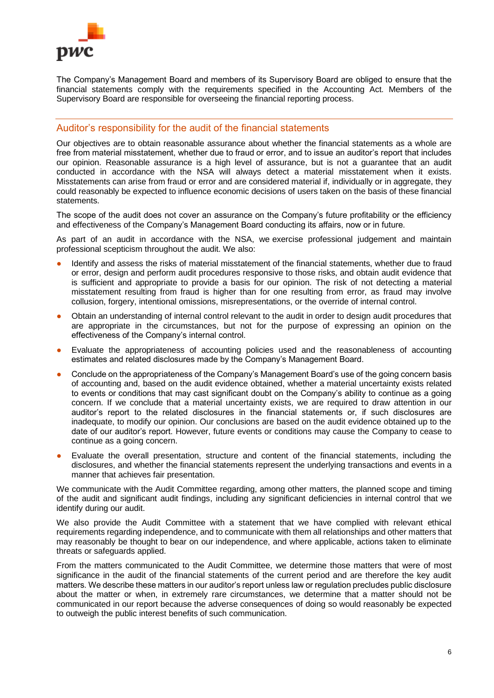

The Company's Management Board and members of its Supervisory Board are obliged to ensure that the financial statements comply with the requirements specified in the Accounting Act. Members of the Supervisory Board are responsible for overseeing the financial reporting process.

# Auditor's responsibility for the audit of the financial statements

Our objectives are to obtain reasonable assurance about whether the financial statements as a whole are free from material misstatement, whether due to fraud or error, and to issue an auditor's report that includes our opinion. Reasonable assurance is a high level of assurance, but is not a guarantee that an audit conducted in accordance with the NSA will always detect a material misstatement when it exists. Misstatements can arise from fraud or error and are considered material if, individually or in aggregate, they could reasonably be expected to influence economic decisions of users taken on the basis of these financial statements.

The scope of the audit does not cover an assurance on the Company's future profitability or the efficiency and effectiveness of the Company's Management Board conducting its affairs, now or in future.

As part of an audit in accordance with the NSA, we exercise professional judgement and maintain professional scepticism throughout the audit. We also:

- Identify and assess the risks of material misstatement of the financial statements, whether due to fraud or error, design and perform audit procedures responsive to those risks, and obtain audit evidence that is sufficient and appropriate to provide a basis for our opinion. The risk of not detecting a material misstatement resulting from fraud is higher than for one resulting from error, as fraud may involve collusion, forgery, intentional omissions, misrepresentations, or the override of internal control.
- Obtain an understanding of internal control relevant to the audit in order to design audit procedures that are appropriate in the circumstances, but not for the purpose of expressing an opinion on the effectiveness of the Company's internal control.
- Evaluate the appropriateness of accounting policies used and the reasonableness of accounting estimates and related disclosures made by the Company's Management Board.
- Conclude on the appropriateness of the Company's Management Board's use of the going concern basis of accounting and, based on the audit evidence obtained, whether a material uncertainty exists related to events or conditions that may cast significant doubt on the Company's ability to continue as a going concern. If we conclude that a material uncertainty exists, we are required to draw attention in our auditor's report to the related disclosures in the financial statements or, if such disclosures are inadequate, to modify our opinion. Our conclusions are based on the audit evidence obtained up to the date of our auditor's report. However, future events or conditions may cause the Company to cease to continue as a going concern.
- Evaluate the overall presentation, structure and content of the financial statements, including the disclosures, and whether the financial statements represent the underlying transactions and events in a manner that achieves fair presentation.

We communicate with the Audit Committee regarding, among other matters, the planned scope and timing of the audit and significant audit findings, including any significant deficiencies in internal control that we identify during our audit.

We also provide the Audit Committee with a statement that we have complied with relevant ethical requirements regarding independence, and to communicate with them all relationships and other matters that may reasonably be thought to bear on our independence, and where applicable, actions taken to eliminate threats or safeguards applied.

From the matters communicated to the Audit Committee, we determine those matters that were of most significance in the audit of the financial statements of the current period and are therefore the key audit matters. We describe these matters in our auditor's report unless law or regulation precludes public disclosure about the matter or when, in extremely rare circumstances, we determine that a matter should not be communicated in our report because the adverse consequences of doing so would reasonably be expected to outweigh the public interest benefits of such communication.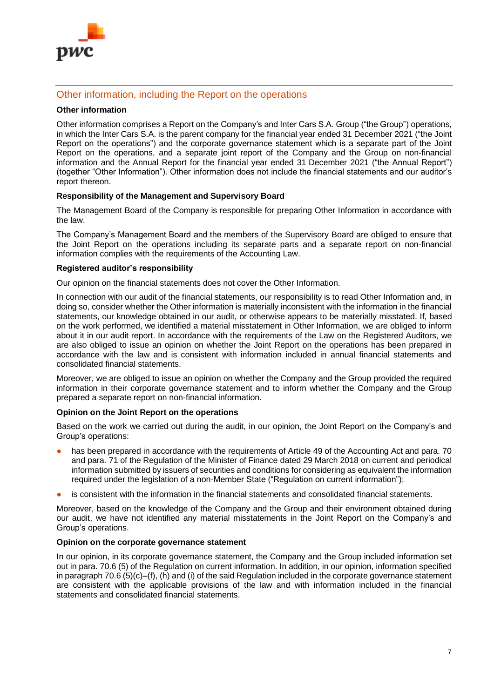

# Other information, including the Report on the operations

### **Other information**

Other information comprises a Report on the Company's and Inter Cars S.A. Group ("the Group") operations, in which the Inter Cars S.A. is the parent company for the financial year ended 31 December 2021 ("the Joint Report on the operations") and the corporate governance statement which is a separate part of the Joint Report on the operations, and a separate joint report of the Company and the Group on non-financial information and the Annual Report for the financial year ended 31 December 2021 ("the Annual Report") (together "Other Information"). Other information does not include the financial statements and our auditor's report thereon.

### **Responsibility of the Management and Supervisory Board**

The Management Board of the Company is responsible for preparing Other Information in accordance with the law.

The Company's Management Board and the members of the Supervisory Board are obliged to ensure that the Joint Report on the operations including its separate parts and a separate report on non-financial information complies with the requirements of the Accounting Law.

# **Registered auditor's responsibility**

Our opinion on the financial statements does not cover the Other Information.

In connection with our audit of the financial statements, our responsibility is to read Other Information and, in doing so, consider whether the Other information is materially inconsistent with the information in the financial statements, our knowledge obtained in our audit, or otherwise appears to be materially misstated. If, based on the work performed, we identified a material misstatement in Other Information, we are obliged to inform about it in our audit report. In accordance with the requirements of the Law on the Registered Auditors, we are also obliged to issue an opinion on whether the Joint Report on the operations has been prepared in accordance with the law and is consistent with information included in annual financial statements and consolidated financial statements.

Moreover, we are obliged to issue an opinion on whether the Company and the Group provided the required information in their corporate governance statement and to inform whether the Company and the Group prepared a separate report on non-financial information.

# **Opinion on the Joint Report on the operations**

Based on the work we carried out during the audit, in our opinion, the Joint Report on the Company's and Group's operations:

- has been prepared in accordance with the requirements of Article 49 of the Accounting Act and para. 70 and para. 71 of the Regulation of the Minister of Finance dated 29 March 2018 on current and periodical information submitted by issuers of securities and conditions for considering as equivalent the information required under the legislation of a non-Member State ("Regulation on current information");
- is consistent with the information in the financial statements and consolidated financial statements.

Moreover, based on the knowledge of the Company and the Group and their environment obtained during our audit, we have not identified any material misstatements in the Joint Report on the Company's and Group's operations.

# **Opinion on the corporate governance statement**

In our opinion, in its corporate governance statement, the Company and the Group included information set out in para. 70.6 (5) of the Regulation on current information. In addition, in our opinion, information specified in paragraph 70.6 (5)(c)–(f), (h) and (i) of the said Regulation included in the corporate governance statement are consistent with the applicable provisions of the law and with information included in the financial statements and consolidated financial statements.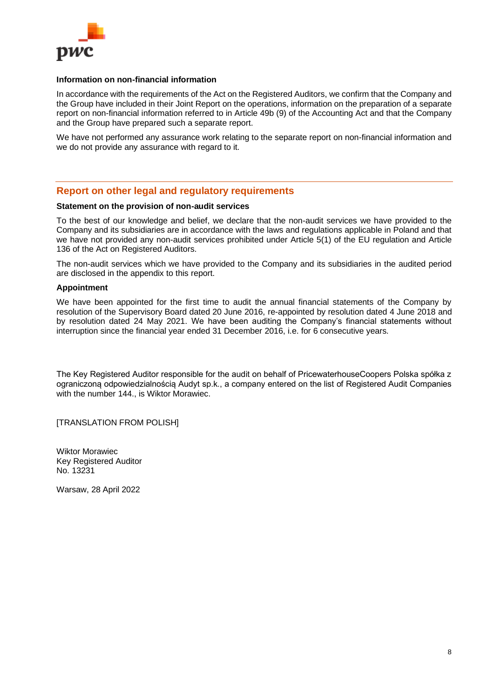

### **Information on non-financial information**

In accordance with the requirements of the Act on the Registered Auditors, we confirm that the Company and the Group have included in their Joint Report on the operations, information on the preparation of a separate report on non-financial information referred to in Article 49b (9) of the Accounting Act and that the Company and the Group have prepared such a separate report.

We have not performed any assurance work relating to the separate report on non-financial information and we do not provide any assurance with regard to it.

# **Report on other legal and regulatory requirements**

#### **Statement on the provision of non-audit services**

To the best of our knowledge and belief, we declare that the non-audit services we have provided to the Company and its subsidiaries are in accordance with the laws and regulations applicable in Poland and that we have not provided any non-audit services prohibited under Article 5(1) of the EU regulation and Article 136 of the Act on Registered Auditors.

The non-audit services which we have provided to the Company and its subsidiaries in the audited period are disclosed in the appendix to this report.

#### **Appointment**

We have been appointed for the first time to audit the annual financial statements of the Company by resolution of the Supervisory Board dated 20 June 2016, re-appointed by resolution dated 4 June 2018 and by resolution dated 24 May 2021. We have been auditing the Company's financial statements without interruption since the financial year ended 31 December 2016, i.e. for 6 consecutive years.

The Key Registered Auditor responsible for the audit on behalf of PricewaterhouseCoopers Polska spółka z ograniczoną odpowiedzialnością Audyt sp.k., a company entered on the list of Registered Audit Companies with the number 144., is Wiktor Morawiec.

[TRANSLATION FROM POLISH]

Wiktor Morawiec Key Registered Auditor No. 13231

Warsaw, 28 April 2022